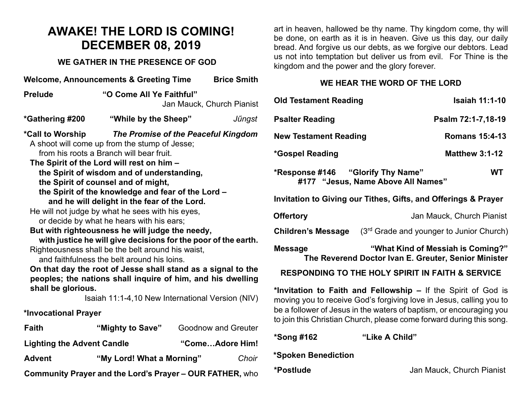### **AWAKE! THE LORD IS COMING! DECEMBER 08, 2019**

#### **WE GATHER IN THE PRESENCE OF GOD**

| <b>Welcome, Announcements &amp; Greeting Time</b><br><b>Brice Smith</b>                                                                                                                                                                                                                                                                                                                                                                                                                                                                                                                                                                                                                                                                                                                                                                                                                                                         |                           |  |                     |  |  |  |
|---------------------------------------------------------------------------------------------------------------------------------------------------------------------------------------------------------------------------------------------------------------------------------------------------------------------------------------------------------------------------------------------------------------------------------------------------------------------------------------------------------------------------------------------------------------------------------------------------------------------------------------------------------------------------------------------------------------------------------------------------------------------------------------------------------------------------------------------------------------------------------------------------------------------------------|---------------------------|--|---------------------|--|--|--|
| "O Come All Ye Faithful"<br><b>Prelude</b><br>Jan Mauck, Church Pianist                                                                                                                                                                                                                                                                                                                                                                                                                                                                                                                                                                                                                                                                                                                                                                                                                                                         |                           |  |                     |  |  |  |
| *Gathering #200                                                                                                                                                                                                                                                                                                                                                                                                                                                                                                                                                                                                                                                                                                                                                                                                                                                                                                                 | "While by the Sheep"      |  | Jűngst              |  |  |  |
| *Call to Worship<br>The Promise of the Peaceful Kingdom<br>A shoot will come up from the stump of Jesse;<br>from his roots a Branch will bear fruit.<br>The Spirit of the Lord will rest on him -<br>the Spirit of wisdom and of understanding,<br>the Spirit of counsel and of might,<br>the Spirit of the knowledge and fear of the Lord -<br>and he will delight in the fear of the Lord.<br>He will not judge by what he sees with his eyes,<br>or decide by what he hears with his ears;<br>But with righteousness he will judge the needy,<br>with justice he will give decisions for the poor of the earth.<br>Righteousness shall be the belt around his waist,<br>and faithfulness the belt around his loins.<br>On that day the root of Jesse shall stand as a signal to the<br>peoples; the nations shall inquire of him, and his dwelling<br>shall be glorious.<br>Isaiah 11:1-4,10 New International Version (NIV) |                           |  |                     |  |  |  |
| Faith                                                                                                                                                                                                                                                                                                                                                                                                                                                                                                                                                                                                                                                                                                                                                                                                                                                                                                                           | "Mighty to Save"          |  | Goodnow and Greuter |  |  |  |
| <b>Lighting the Advent Candle</b><br>"ComeAdore Him!                                                                                                                                                                                                                                                                                                                                                                                                                                                                                                                                                                                                                                                                                                                                                                                                                                                                            |                           |  |                     |  |  |  |
| <b>Advent</b>                                                                                                                                                                                                                                                                                                                                                                                                                                                                                                                                                                                                                                                                                                                                                                                                                                                                                                                   | "My Lord! What a Morning" |  | Choir               |  |  |  |
| <b>Community Prayer and the Lord's Prayer - OUR FATHER, who</b>                                                                                                                                                                                                                                                                                                                                                                                                                                                                                                                                                                                                                                                                                                                                                                                                                                                                 |                           |  |                     |  |  |  |

art in heaven, hallowed be thy name. Thy kingdom come, thy will be done, on earth as it is in heaven. Give us this day, our daily bread. And forgive us our debts, as we forgive our debtors. Lead us not into temptation but deliver us from evil. For Thine is the kingdom and the power and the glory forever.

#### **WE HEAR THE WORD OF THE LORD**

| <b>Old Testament Reading</b>                                                                                                         |                                                                                           | <b>Isaiah 11:1-10</b>     |           |  |  |  |
|--------------------------------------------------------------------------------------------------------------------------------------|-------------------------------------------------------------------------------------------|---------------------------|-----------|--|--|--|
| <b>Psalter Reading</b>                                                                                                               |                                                                                           | Psalm 72:1-7,18-19        |           |  |  |  |
| <b>New Testament Reading</b>                                                                                                         |                                                                                           | <b>Romans 15:4-13</b>     |           |  |  |  |
| *Gospel Reading                                                                                                                      |                                                                                           | <b>Matthew 3:1-12</b>     |           |  |  |  |
|                                                                                                                                      | #177 "Jesus, Name Above All Names"                                                        |                           | <b>WT</b> |  |  |  |
| Invitation to Giving our Tithes, Gifts, and Offerings & Prayer                                                                       |                                                                                           |                           |           |  |  |  |
| <b>Offertory</b>                                                                                                                     |                                                                                           | Jan Mauck, Church Pianist |           |  |  |  |
| <b>Children's Message</b>                                                                                                            | (3 <sup>rd</sup> Grade and younger to Junior Church)                                      |                           |           |  |  |  |
| <b>Message</b>                                                                                                                       | "What Kind of Messiah is Coming?"<br>The Reverend Doctor Ivan E. Greuter, Senior Minister |                           |           |  |  |  |
| <b>RESPONDING TO THE HOLY SPIRIT IN FAITH &amp; SERVICE</b>                                                                          |                                                                                           |                           |           |  |  |  |
| *Invitation to Faith and Fellowship – If the Spirit of God is<br>moving you to receive God's forgiving love in Jesus, calling you to |                                                                                           |                           |           |  |  |  |

moving you to receive God's forgiving love in Jesus, calling you to be a follower of Jesus in the waters of baptism, or encouraging you to join this Christian Church, please come forward during this song.

**\*Song #162 "Like A Child"**

**\*Spoken Benediction** 

**\*Postlude** Jan Mauck, Church Pianist